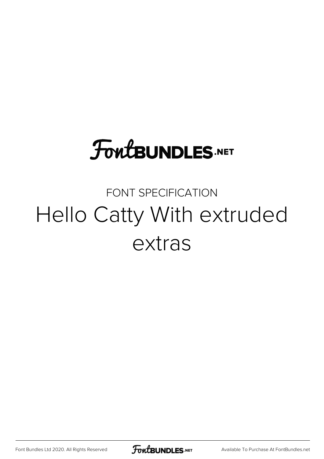## **FoutBUNDLES.NET**

## FONT SPECIFICATION Hello Catty With extruded extras

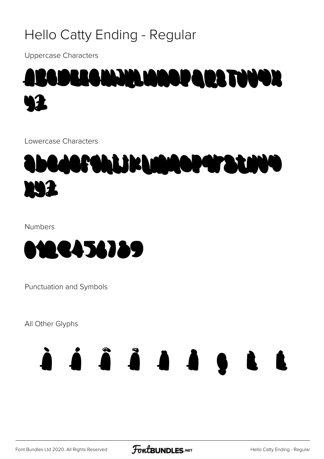#### Hello Catty Ending - Regular

**Uppercase Characters** 



Lowercase Characters



**Numbers** 



Punctuation and Symbols

All Other Glyphs

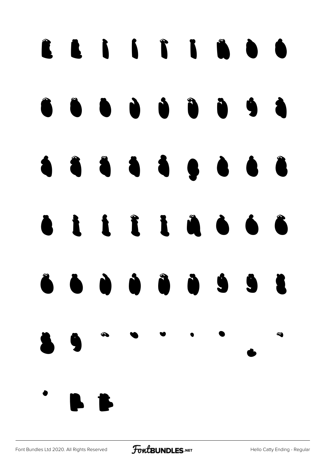# Ê Ë Ì Í Î Ï Ñ Ò Ó Ô Õ Ö Ù Ú Û Ü Ý à á â ã ä å ç è é ê ë ì í î ï ñ ò ó ô õ ö ù ú û ü ý ÿ Š s *Š*  $\sim$   $\sim$   $\sim$   $\sim$   $\sim$ ˛ ˜ ˝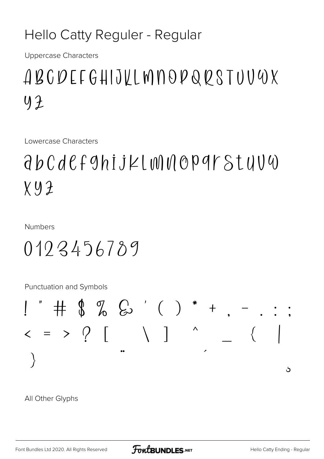#### Hello Catty Reguler - Regular

**Uppercase Characters** 

## ABCDEFGHIJKLMNOPQRSTUVWX  $42$

Lowercase Characters

## $d\,b\,C\,d\,C\,f\,9$ hij $\geq$ l w $\parallel$ w $\parallel$ O $\parallel$ O $\parallel$ Stu $\cup$ U  $X.92$

**Numbers** 

 $0193456789$ 

Punctuation and Symbols



All Other Glyphs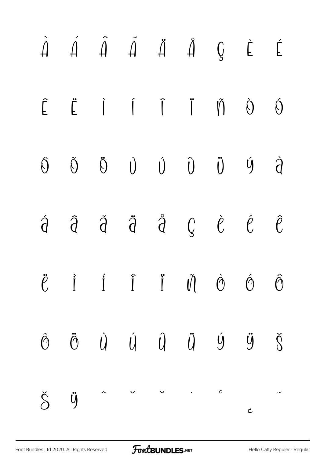